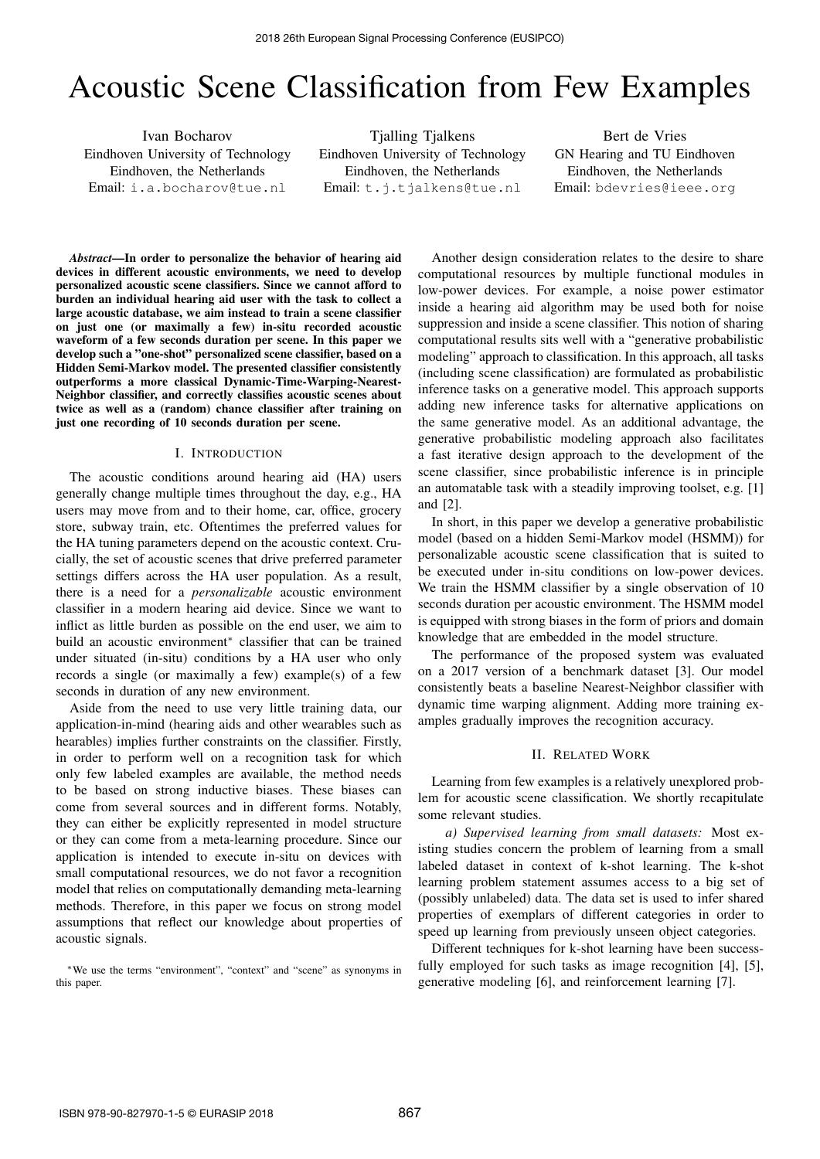# Acoustic Scene Classification from Few Examples

Ivan Bocharov Eindhoven University of Technology Eindhoven, the Netherlands Email: i.a.bocharov@tue.nl

Tjalling Tjalkens Eindhoven University of Technology Eindhoven, the Netherlands Email: t.j.tjalkens@tue.nl

Bert de Vries GN Hearing and TU Eindhoven Eindhoven, the Netherlands Email: bdevries@ieee.org

*Abstract*—In order to personalize the behavior of hearing aid devices in different acoustic environments, we need to develop personalized acoustic scene classifiers. Since we cannot afford to burden an individual hearing aid user with the task to collect a large acoustic database, we aim instead to train a scene classifier on just one (or maximally a few) in-situ recorded acoustic waveform of a few seconds duration per scene. In this paper we develop such a "one-shot" personalized scene classifier, based on a Hidden Semi-Markov model. The presented classifier consistently outperforms a more classical Dynamic-Time-Warping-Nearest-Neighbor classifier, and correctly classifies acoustic scenes about twice as well as a (random) chance classifier after training on just one recording of 10 seconds duration per scene.

## I. INTRODUCTION

The acoustic conditions around hearing aid (HA) users generally change multiple times throughout the day, e.g., HA users may move from and to their home, car, office, grocery store, subway train, etc. Oftentimes the preferred values for the HA tuning parameters depend on the acoustic context. Crucially, the set of acoustic scenes that drive preferred parameter settings differs across the HA user population. As a result, there is a need for a *personalizable* acoustic environment classifier in a modern hearing aid device. Since we want to inflict as little burden as possible on the end user, we aim to build an acoustic environment<sup>∗</sup> classifier that can be trained under situated (in-situ) conditions by a HA user who only records a single (or maximally a few) example(s) of a few seconds in duration of any new environment.

Aside from the need to use very little training data, our application-in-mind (hearing aids and other wearables such as hearables) implies further constraints on the classifier. Firstly, in order to perform well on a recognition task for which only few labeled examples are available, the method needs to be based on strong inductive biases. These biases can come from several sources and in different forms. Notably, they can either be explicitly represented in model structure or they can come from a meta-learning procedure. Since our application is intended to execute in-situ on devices with small computational resources, we do not favor a recognition model that relies on computationally demanding meta-learning methods. Therefore, in this paper we focus on strong model assumptions that reflect our knowledge about properties of acoustic signals.

<sup>∗</sup>We use the terms "environment", "context" and "scene" as synonyms in this paper.

Another design consideration relates to the desire to share computational resources by multiple functional modules in low-power devices. For example, a noise power estimator inside a hearing aid algorithm may be used both for noise suppression and inside a scene classifier. This notion of sharing computational results sits well with a "generative probabilistic modeling" approach to classification. In this approach, all tasks (including scene classification) are formulated as probabilistic inference tasks on a generative model. This approach supports adding new inference tasks for alternative applications on the same generative model. As an additional advantage, the generative probabilistic modeling approach also facilitates a fast iterative design approach to the development of the scene classifier, since probabilistic inference is in principle an automatable task with a steadily improving toolset, e.g. [1] and [2].

In short, in this paper we develop a generative probabilistic model (based on a hidden Semi-Markov model (HSMM)) for personalizable acoustic scene classification that is suited to be executed under in-situ conditions on low-power devices. We train the HSMM classifier by a single observation of 10 seconds duration per acoustic environment. The HSMM model is equipped with strong biases in the form of priors and domain knowledge that are embedded in the model structure.

The performance of the proposed system was evaluated on a 2017 version of a benchmark dataset [3]. Our model consistently beats a baseline Nearest-Neighbor classifier with dynamic time warping alignment. Adding more training examples gradually improves the recognition accuracy.

## II. RELATED WORK

Learning from few examples is a relatively unexplored problem for acoustic scene classification. We shortly recapitulate some relevant studies.

*a) Supervised learning from small datasets:* Most existing studies concern the problem of learning from a small labeled dataset in context of k-shot learning. The k-shot learning problem statement assumes access to a big set of (possibly unlabeled) data. The data set is used to infer shared properties of exemplars of different categories in order to speed up learning from previously unseen object categories.

Different techniques for k-shot learning have been successfully employed for such tasks as image recognition [4], [5], generative modeling [6], and reinforcement learning [7].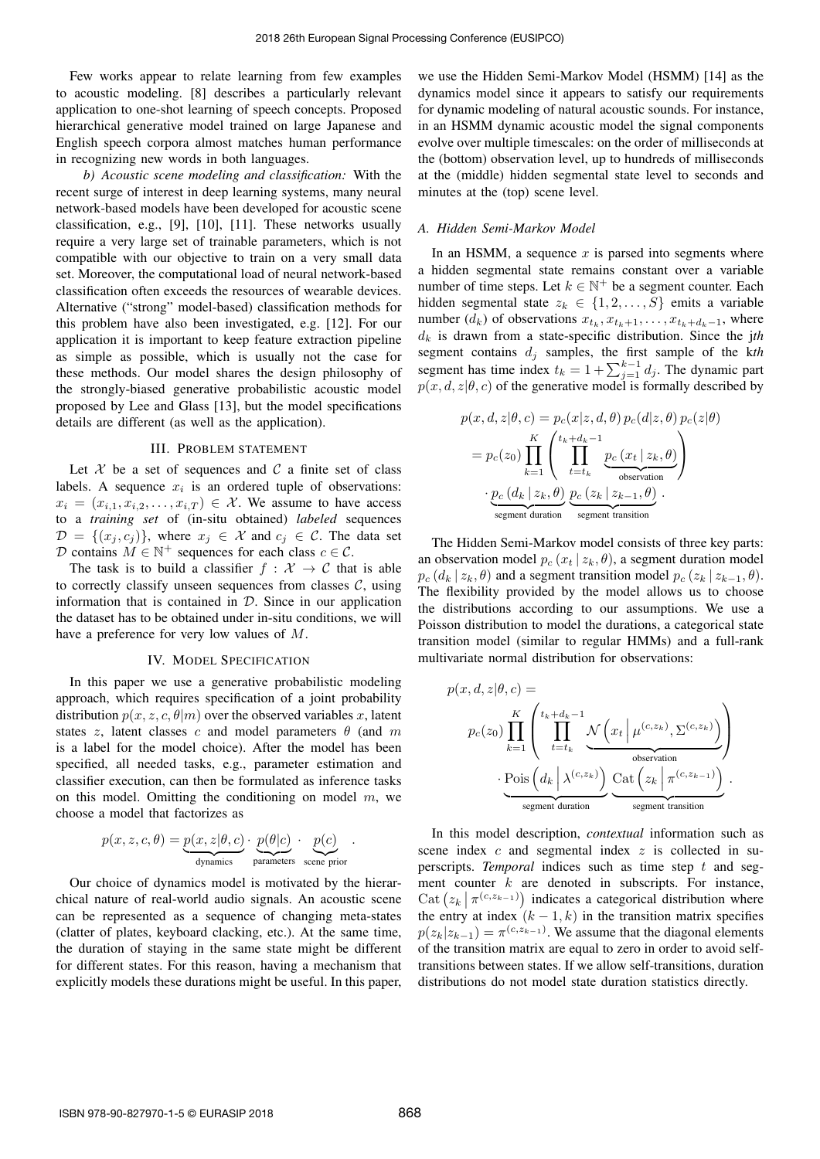Few works appear to relate learning from few examples to acoustic modeling. [8] describes a particularly relevant application to one-shot learning of speech concepts. Proposed hierarchical generative model trained on large Japanese and English speech corpora almost matches human performance in recognizing new words in both languages.

*b) Acoustic scene modeling and classification:* With the recent surge of interest in deep learning systems, many neural network-based models have been developed for acoustic scene classification, e.g., [9], [10], [11]. These networks usually require a very large set of trainable parameters, which is not compatible with our objective to train on a very small data set. Moreover, the computational load of neural network-based classification often exceeds the resources of wearable devices. Alternative ("strong" model-based) classification methods for this problem have also been investigated, e.g. [12]. For our application it is important to keep feature extraction pipeline as simple as possible, which is usually not the case for these methods. Our model shares the design philosophy of the strongly-biased generative probabilistic acoustic model proposed by Lee and Glass [13], but the model specifications details are different (as well as the application).

## III. PROBLEM STATEMENT

Let  $X$  be a set of sequences and  $C$  a finite set of class labels. A sequence  $x_i$  is an ordered tuple of observations:  $x_i = (x_{i,1}, x_{i,2}, \ldots, x_{i,T}) \in \mathcal{X}$ . We assume to have access to a *training set* of (in-situ obtained) *labeled* sequences  $\mathcal{D} = \{(x_i, c_i)\}\$ , where  $x_i \in \mathcal{X}$  and  $c_i \in \mathcal{C}$ . The data set D contains  $M \in \mathbb{N}^+$  sequences for each class  $c \in \mathcal{C}$ .

The task is to build a classifier  $f : \mathcal{X} \to \mathcal{C}$  that is able to correctly classify unseen sequences from classes  $C$ , using information that is contained in  $D$ . Since in our application the dataset has to be obtained under in-situ conditions, we will have a preference for very low values of M.

## IV. MODEL SPECIFICATION

In this paper we use a generative probabilistic modeling approach, which requires specification of a joint probability distribution  $p(x, z, c, \theta|m)$  over the observed variables x, latent states z, latent classes c and model parameters  $\theta$  (and m is a label for the model choice). After the model has been specified, all needed tasks, e.g., parameter estimation and classifier execution, can then be formulated as inference tasks on this model. Omitting the conditioning on model  $m$ , we choose a model that factorizes as

$$
p(x, z, c, \theta) = \underbrace{p(x, z | \theta, c)}_{\text{dynamics}} \cdot \underbrace{p(\theta | c)}_{\text{parameters}} \cdot \underbrace{p(c)}_{\text{scene prior}}.
$$

Our choice of dynamics model is motivated by the hierarchical nature of real-world audio signals. An acoustic scene can be represented as a sequence of changing meta-states (clatter of plates, keyboard clacking, etc.). At the same time, the duration of staying in the same state might be different for different states. For this reason, having a mechanism that explicitly models these durations might be useful. In this paper,

we use the Hidden Semi-Markov Model (HSMM) [14] as the dynamics model since it appears to satisfy our requirements for dynamic modeling of natural acoustic sounds. For instance, in an HSMM dynamic acoustic model the signal components evolve over multiple timescales: on the order of milliseconds at the (bottom) observation level, up to hundreds of milliseconds at the (middle) hidden segmental state level to seconds and minutes at the (top) scene level.

#### *A. Hidden Semi-Markov Model*

In an HSMM, a sequence  $x$  is parsed into segments where a hidden segmental state remains constant over a variable number of time steps. Let  $k \in \mathbb{N}^+$  be a segment counter. Each hidden segmental state  $z_k \in \{1, 2, \ldots, S\}$  emits a variable number  $(d_k)$  of observations  $x_{t_k}, x_{t_k+1}, \ldots, x_{t_k+d_k-1}$ , where  $d_k$  is drawn from a state-specific distribution. Since the jth segment contains  $d_j$  samples, the first sample of the  $kth$ segment has time index  $t_k = 1 + \sum_{j=1}^{k-1} d_j$ . The dynamic part  $p(x, d, z | \theta, c)$  of the generative model is formally described by

$$
p(x, d, z | \theta, c) = p_c(x | z, d, \theta) p_c(d | z, \theta) p_c(z | \theta)
$$
  
=  $p_c(z_0) \prod_{k=1}^K \left( \prod_{t=t_k}^{t_k+d_k-1} \underbrace{p_c(x_t | z_k, \theta)}_{\text{observation}} \right)$   

$$
\cdot \underbrace{p_c(d_k | z_k, \theta)}_{\text{segment duration}} \underbrace{p_c(z_k | z_{k-1}, \theta)}_{\text{segment transition}}.
$$

The Hidden Semi-Markov model consists of three key parts: an observation model  $p_c(x_t | z_k, \theta)$ , a segment duration model  $p_c$  ( $d_k$  |  $z_k$ ,  $\theta$ ) and a segment transition model  $p_c$  ( $z_k$  |  $z_{k-1}$ ,  $\theta$ ). The flexibility provided by the model allows us to choose the distributions according to our assumptions. We use a Poisson distribution to model the durations, a categorical state transition model (similar to regular HMMs) and a full-rank multivariate normal distribution for observations:

$$
p(x, d, z | \theta, c) =
$$
\n
$$
p_c(z_0) \prod_{k=1}^K \left( \prod_{t=t_k}^{t_k+d_k-1} \underbrace{\mathcal{N} \left( x_t \mid \mu^{(c,z_k)}, \Sigma^{(c,z_k)} \right)}_{\text{observation}} \right)
$$
\n
$$
\cdot \underbrace{\text{Pois} \left( d_k \mid \lambda^{(c,z_k)} \right)}_{\text{segment duration}} \underbrace{\text{Cat} \left( z_k \mid \pi^{(c,z_{k-1})} \right)}_{\text{segment transition}}.
$$

In this model description, *contextual* information such as scene index  $c$  and segmental index  $z$  is collected in superscripts. *Temporal* indices such as time step t and segment counter  $k$  are denoted in subscripts. For instance, Cat  $(z_k | \pi^{(c,z_{k-1})})$  indicates a categorical distribution where the entry at index  $(k - 1, k)$  in the transition matrix specifies  $p(z_k|z_{k-1}) = \pi^{(c,z_{k-1})}$ . We assume that the diagonal elements of the transition matrix are equal to zero in order to avoid selftransitions between states. If we allow self-transitions, duration distributions do not model state duration statistics directly.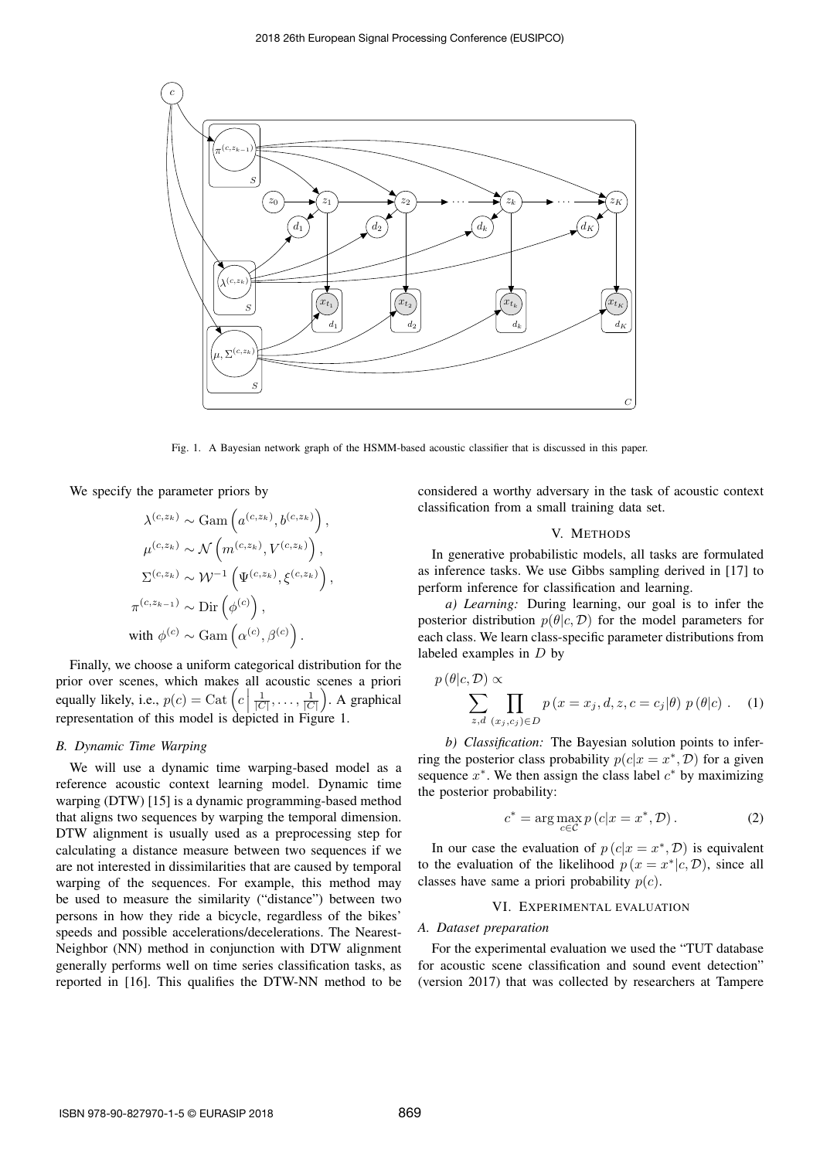

Fig. 1. A Bayesian network graph of the HSMM-based acoustic classifier that is discussed in this paper.

We specify the parameter priors by

$$
\lambda^{(c,z_k)} \sim \text{Gam}\left(a^{(c,z_k)}, b^{(c,z_k)}\right),
$$

$$
\mu^{(c,z_k)} \sim \mathcal{N}\left(m^{(c,z_k)}, V^{(c,z_k)}\right),
$$

$$
\Sigma^{(c,z_k)} \sim \mathcal{W}^{-1}\left(\Psi^{(c,z_k)}, \xi^{(c,z_k)}\right),
$$

$$
\pi^{(c,z_{k-1})} \sim \text{Dir}\left(\phi^{(c)}\right),
$$
 with 
$$
\phi^{(c)} \sim \text{Gam}\left(\alpha^{(c)}, \beta^{(c)}\right).
$$

.<br>e Finally, we choose a uniform categorical distribution for the prior over scenes, which makes all acoustic scenes a priori equally likely, i.e.,  $p(c) = \text{Cat}\left(c \mid \text{superscript{ex}}\right)$  $\frac{1}{|C|}, \ldots, \frac{1}{|C|}$ . A graphical representation of this model is depicted in Figure 1.

## *B. Dynamic Time Warping*

We will use a dynamic time warping-based model as a reference acoustic context learning model. Dynamic time warping (DTW) [15] is a dynamic programming-based method that aligns two sequences by warping the temporal dimension. DTW alignment is usually used as a preprocessing step for calculating a distance measure between two sequences if we are not interested in dissimilarities that are caused by temporal warping of the sequences. For example, this method may be used to measure the similarity ("distance") between two persons in how they ride a bicycle, regardless of the bikes' speeds and possible accelerations/decelerations. The Nearest-Neighbor (NN) method in conjunction with DTW alignment generally performs well on time series classification tasks, as reported in [16]. This qualifies the DTW-NN method to be

considered a worthy adversary in the task of acoustic context classification from a small training data set.

## V. METHODS

In generative probabilistic models, all tasks are formulated as inference tasks. We use Gibbs sampling derived in [17] to perform inference for classification and learning.

*a) Learning:* During learning, our goal is to infer the posterior distribution  $p(\theta|c, \mathcal{D})$  for the model parameters for each class. We learn class-specific parameter distributions from labeled examples in  $D$  by

$$
p(\theta|c, \mathcal{D}) \propto \sum_{z,d} \prod_{(x_j,c_j) \in D} p(x = x_j, d, z, c = c_j|\theta) p(\theta|c) . \quad (1)
$$

*b) Classification:* The Bayesian solution points to inferring the posterior class probability  $p(c|x = x^*, D)$  for a given sequence  $x^*$ . We then assign the class label  $c^*$  by maximizing the posterior probability:

$$
c^* = \arg\max_{c \in \mathcal{C}} p(c|x = x^*, \mathcal{D}). \tag{2}
$$

In our case the evaluation of  $p(c|x = x^*, D)$  is equivalent to the evaluation of the likelihood  $p(x = x^*|c, \mathcal{D})$ , since all classes have same a priori probability  $p(c)$ .

#### VI. EXPERIMENTAL EVALUATION

## *A. Dataset preparation*

For the experimental evaluation we used the "TUT database for acoustic scene classification and sound event detection" (version 2017) that was collected by researchers at Tampere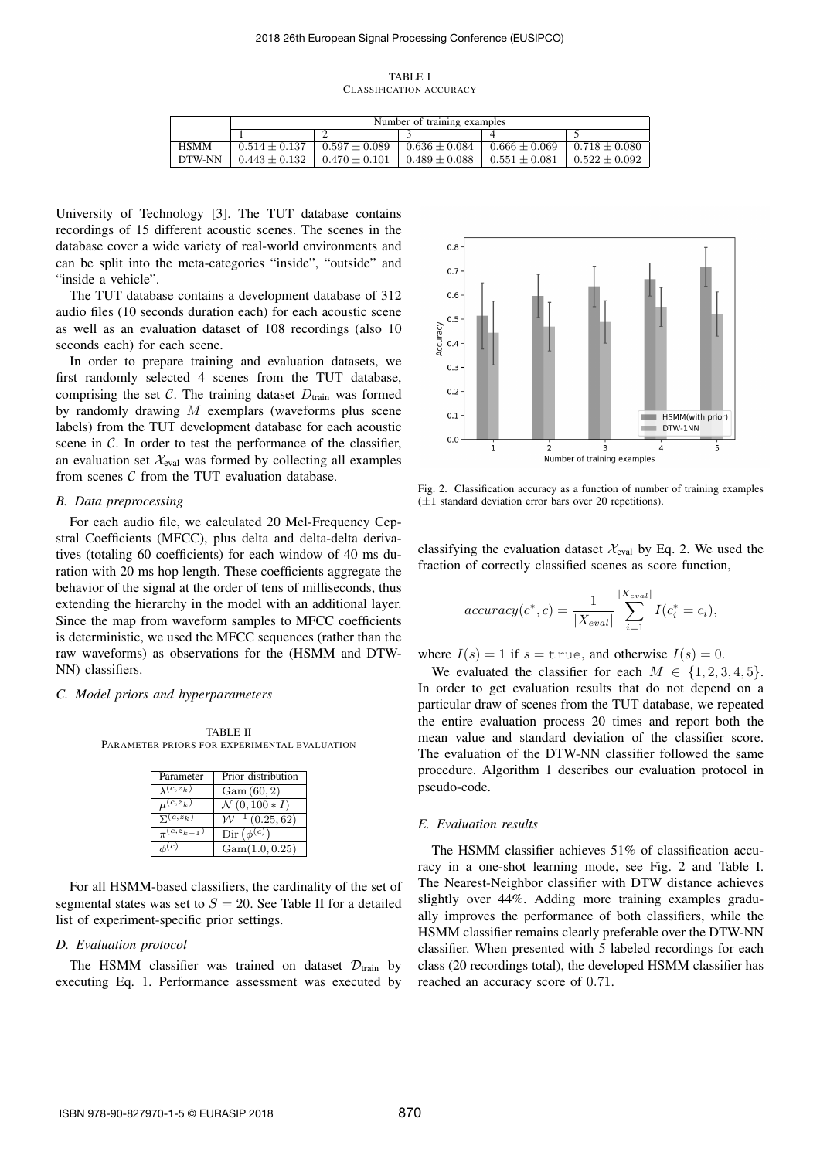TABLE I CLASSIFICATION ACCURACY

|             | Number of training examples |                 |                 |                   |                   |
|-------------|-----------------------------|-----------------|-----------------|-------------------|-------------------|
|             |                             |                 |                 |                   |                   |
| <b>HSMM</b> | $0.514 \pm 0.137$           | $0.597 + 0.089$ | $0.636 + 0.084$ | $0.666 \pm 0.069$ | $0.718 + 0.080$   |
| DTW-NN      | $0.443 + 0.132$             | $0.470 + 0.101$ | $0.489 + 0.088$ | $0.551 + 0.081$   | $0.522 \pm 0.092$ |

University of Technology [3]. The TUT database contains recordings of 15 different acoustic scenes. The scenes in the database cover a wide variety of real-world environments and can be split into the meta-categories "inside", "outside" and "inside a vehicle".

The TUT database contains a development database of 312 audio files (10 seconds duration each) for each acoustic scene as well as an evaluation dataset of 108 recordings (also 10 seconds each) for each scene.

In order to prepare training and evaluation datasets, we first randomly selected 4 scenes from the TUT database, comprising the set  $C$ . The training dataset  $D<sub>train</sub>$  was formed by randomly drawing M exemplars (waveforms plus scene labels) from the TUT development database for each acoustic scene in  $C$ . In order to test the performance of the classifier, an evaluation set  $\mathcal{X}_{eval}$  was formed by collecting all examples from scenes  $C$  from the TUT evaluation database.

#### *B. Data preprocessing*

For each audio file, we calculated 20 Mel-Frequency Cepstral Coefficients (MFCC), plus delta and delta-delta derivatives (totaling 60 coefficients) for each window of 40 ms duration with 20 ms hop length. These coefficients aggregate the behavior of the signal at the order of tens of milliseconds, thus extending the hierarchy in the model with an additional layer. Since the map from waveform samples to MFCC coefficients is deterministic, we used the MFCC sequences (rather than the raw waveforms) as observations for the (HSMM and DTW-NN) classifiers.

#### *C. Model priors and hyperparameters*

TABLE II PARAMETER PRIORS FOR EXPERIMENTAL EVALUATION

| Parameter                  | Prior distribution               |
|----------------------------|----------------------------------|
| $\lambda(c, z_k)$          | Gam(60, 2)                       |
| $\mu^{(c,z_k)}$            | $\mathcal{N}(0, 100 * I)$        |
| $\overline{\Sigma}(c,z_k)$ | $W^{-1}(0.25, 62)$               |
| $\pi^{(c,z_{k-1})}$        | $\operatorname{Dir}(\phi^{(c)})$ |
| $\phi^{(c)}$               | Gam(1.0, 0.25)                   |

For all HSMM-based classifiers, the cardinality of the set of segmental states was set to  $S = 20$ . See Table II for a detailed list of experiment-specific prior settings.

## *D. Evaluation protocol*

The HSMM classifier was trained on dataset  $\mathcal{D}_{\text{train}}$  by executing Eq. 1. Performance assessment was executed by



Fig. 2. Classification accuracy as a function of number of training examples  $(\pm 1)$  standard deviation error bars over 20 repetitions).

classifying the evaluation dataset  $\mathcal{X}_{eval}$  by Eq. 2. We used the fraction of correctly classified scenes as score function,

accuracy
$$
(c^*, c) = \frac{1}{|X_{eval}|} \sum_{i=1}^{|X_{eval}|} I(c_i^* = c_i),
$$

where  $I(s) = 1$  if  $s = \text{true}$ , and otherwise  $I(s) = 0$ .

We evaluated the classifier for each  $M \in \{1, 2, 3, 4, 5\}.$ In order to get evaluation results that do not depend on a particular draw of scenes from the TUT database, we repeated the entire evaluation process 20 times and report both the mean value and standard deviation of the classifier score. The evaluation of the DTW-NN classifier followed the same procedure. Algorithm 1 describes our evaluation protocol in pseudo-code.

## *E. Evaluation results*

The HSMM classifier achieves 51% of classification accuracy in a one-shot learning mode, see Fig. 2 and Table I. The Nearest-Neighbor classifier with DTW distance achieves slightly over 44%. Adding more training examples gradually improves the performance of both classifiers, while the HSMM classifier remains clearly preferable over the DTW-NN classifier. When presented with 5 labeled recordings for each class (20 recordings total), the developed HSMM classifier has reached an accuracy score of 0.71.